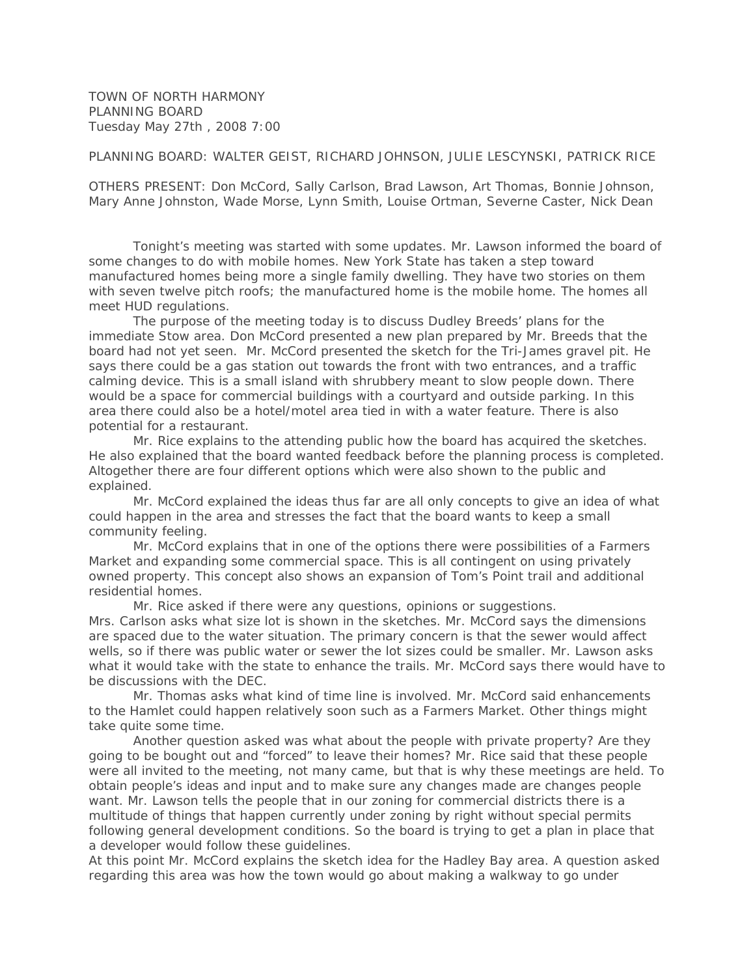TOWN OF NORTH HARMONY PLANNING BOARD Tuesday May 27th , 2008 7:00

be discussions with the DEC.

PLANNING BOARD: WALTER GEIST, RICHARD JOHNSON, JULIE LESCYNSKI, PATRICK RICE

OTHERS PRESENT: Don McCord, Sally Carlson, Brad Lawson, Art Thomas, Bonnie Johnson, Mary Anne Johnston, Wade Morse, Lynn Smith, Louise Ortman, Severne Caster, Nick Dean

 Tonight's meeting was started with some updates. Mr. Lawson informed the board of some changes to do with mobile homes. New York State has taken a step toward manufactured homes being more a single family dwelling. They have two stories on them with seven twelve pitch roofs; the manufactured home is the mobile home. The homes all meet HUD regulations.

 The purpose of the meeting today is to discuss Dudley Breeds' plans for the immediate Stow area. Don McCord presented a new plan prepared by Mr. Breeds that the board had not yet seen. Mr. McCord presented the sketch for the Tri-James gravel pit. He says there could be a gas station out towards the front with two entrances, and a traffic calming device. This is a small island with shrubbery meant to slow people down. There would be a space for commercial buildings with a courtyard and outside parking. In this area there could also be a hotel/motel area tied in with a water feature. There is also potential for a restaurant.

 Mr. Rice explains to the attending public how the board has acquired the sketches. He also explained that the board wanted feedback before the planning process is completed. Altogether there are four different options which were also shown to the public and explained.

 Mr. McCord explained the ideas thus far are all only concepts to give an idea of what could happen in the area and stresses the fact that the board wants to keep a small community feeling.

 Mr. McCord explains that in one of the options there were possibilities of a Farmers Market and expanding some commercial space. This is all contingent on using privately owned property. This concept also shows an expansion of Tom's Point trail and additional residential homes.

 Mr. Rice asked if there were any questions, opinions or suggestions. Mrs. Carlson asks what size lot is shown in the sketches. Mr. McCord says the dimensions are spaced due to the water situation. The primary concern is that the sewer would affect wells, so if there was public water or sewer the lot sizes could be smaller. Mr. Lawson asks what it would take with the state to enhance the trails. Mr. McCord says there would have to

 Mr. Thomas asks what kind of time line is involved. Mr. McCord said enhancements to the Hamlet could happen relatively soon such as a Farmers Market. Other things might take quite some time.

 Another question asked was what about the people with private property? Are they going to be bought out and "forced" to leave their homes? Mr. Rice said that these people were all invited to the meeting, not many came, but that is why these meetings are held. To obtain people's ideas and input and to make sure any changes made are changes people want. Mr. Lawson tells the people that in our zoning for commercial districts there is a multitude of things that happen currently under zoning by right without special permits following general development conditions. So the board is trying to get a plan in place that a developer would follow these guidelines.

At this point Mr. McCord explains the sketch idea for the Hadley Bay area. A question asked regarding this area was how the town would go about making a walkway to go under